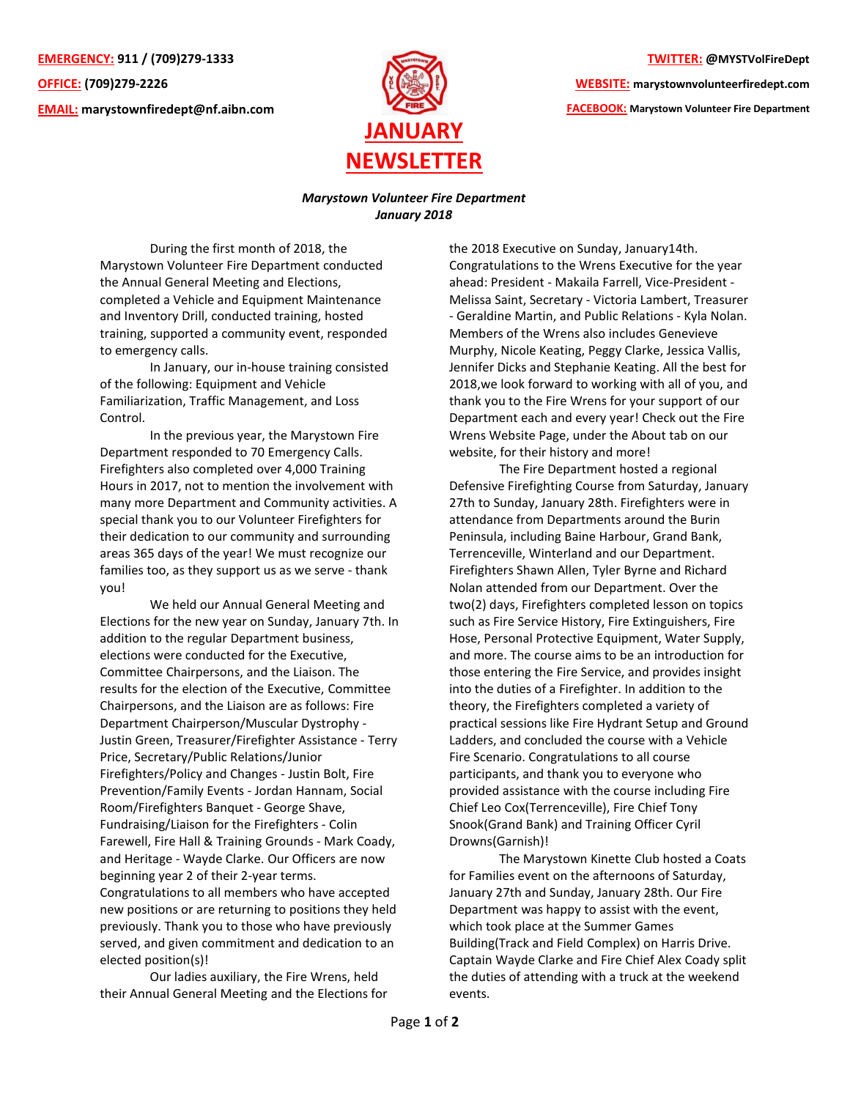**EMERGENCY: 911 / (709)279-1333 OFFICE: (709)279-2226 EMAIL: [marystownfiredept@nf.aibn.com](mailto:marystownfiredept@nf.aibn.com)**



## **TWITTER: @MYSTVolFireDept**

**WEBSITE: marystownvolunteerfiredept.com FACEBOOK: Marystown Volunteer Fire Department**

## *Marystown Volunteer Fire Department January 2018*

During the first month of 2018, the Marystown Volunteer Fire Department conducted the Annual General Meeting and Elections, completed a Vehicle and Equipment Maintenance and Inventory Drill, conducted training, hosted training, supported a community event, responded to emergency calls.

In January, our in-house training consisted of the following: Equipment and Vehicle Familiarization, Traffic Management, and Loss Control.

In the previous year, the Marystown Fire Department responded to 70 Emergency Calls. Firefighters also completed over 4,000 Training Hours in 2017, not to mention the involvement with many more Department and Community activities. A special thank you to our Volunteer Firefighters for their dedication to our community and surrounding areas 365 days of the year! We must recognize our families too, as they support us as we serve - thank you!

We held our Annual General Meeting and Elections for the new year on Sunday, January 7th. In addition to the regular Department business, elections were conducted for the Executive, Committee Chairpersons, and the Liaison. The results for the election of the Executive, Committee Chairpersons, and the Liaison are as follows: Fire Department Chairperson/Muscular Dystrophy - Justin Green, Treasurer/Firefighter Assistance - Terry Price, Secretary/Public Relations/Junior Firefighters/Policy and Changes - Justin Bolt, Fire Prevention/Family Events - Jordan Hannam, Social Room/Firefighters Banquet - George Shave, Fundraising/Liaison for the Firefighters - Colin Farewell, Fire Hall & Training Grounds - Mark Coady, and Heritage - Wayde Clarke. Our Officers are now beginning year 2 of their 2-year terms. Congratulations to all members who have accepted new positions or are returning to positions they held previously. Thank you to those who have previously served, and given commitment and dedication to an elected position(s)!

Our ladies auxiliary, the Fire Wrens, held their Annual General Meeting and the Elections for the 2018 Executive on Sunday, January14th. Congratulations to the Wrens Executive for the year ahead: President - Makaila Farrell, Vice-President - Melissa Saint, Secretary - Victoria Lambert, Treasurer - Geraldine Martin, and Public Relations - Kyla Nolan. Members of the Wrens also includes Genevieve Murphy, Nicole Keating, Peggy Clarke, Jessica Vallis, Jennifer Dicks and Stephanie Keating. All the best for 2018,we look forward to working with all of you, and thank you to the Fire Wrens for your support of our Department each and every year! Check out the Fire Wrens Website Page, under the About tab on our website, for their history and more!

The Fire Department hosted a regional Defensive Firefighting Course from Saturday, January 27th to Sunday, January 28th. Firefighters were in attendance from Departments around the Burin Peninsula, including Baine Harbour, Grand Bank, Terrenceville, Winterland and our Department. Firefighters Shawn Allen, Tyler Byrne and Richard Nolan attended from our Department. Over the two(2) days, Firefighters completed lesson on topics such as Fire Service History, Fire Extinguishers, Fire Hose, Personal Protective Equipment, Water Supply, and more. The course aims to be an introduction for those entering the Fire Service, and provides insight into the duties of a Firefighter. In addition to the theory, the Firefighters completed a variety of practical sessions like Fire Hydrant Setup and Ground Ladders, and concluded the course with a Vehicle Fire Scenario. Congratulations to all course participants, and thank you to everyone who provided assistance with the course including Fire Chief Leo Cox(Terrenceville), Fire Chief Tony Snook(Grand Bank) and Training Officer Cyril Drowns(Garnish)!

The Marystown Kinette Club hosted a Coats for Families event on the afternoons of Saturday, January 27th and Sunday, January 28th. Our Fire Department was happy to assist with the event, which took place at the Summer Games Building(Track and Field Complex) on Harris Drive. Captain Wayde Clarke and Fire Chief Alex Coady split the duties of attending with a truck at the weekend events.